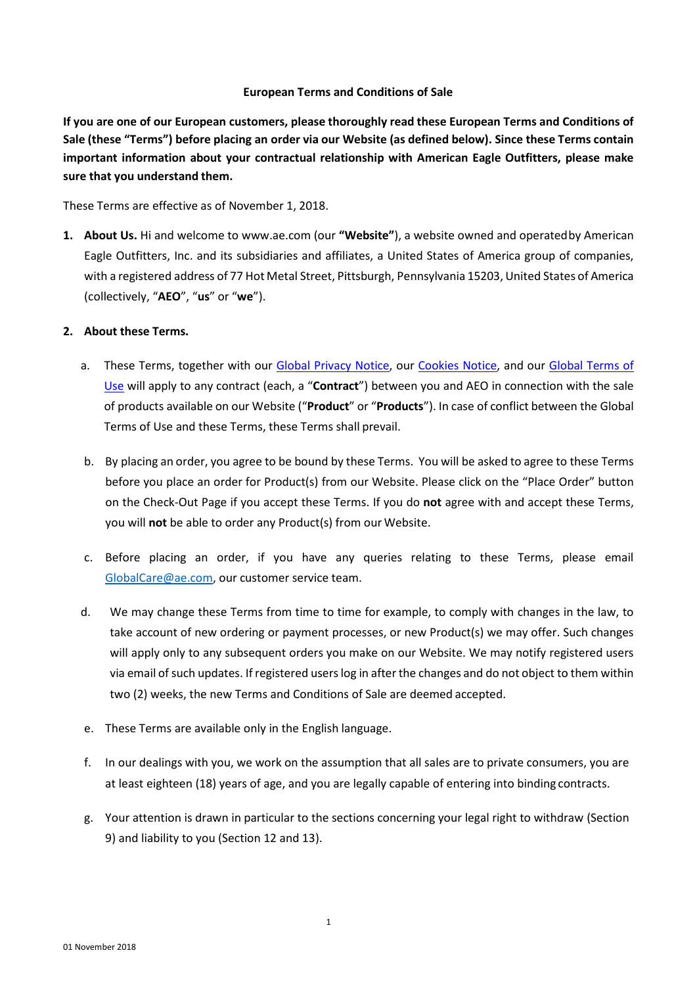#### **European Terms and Conditions of Sale**

**If you are one of our European customers, please thoroughly read these European Terms and Conditions of**  Sale (these "Terms") before placing an order via our Website (as defined below). Since these Terms contain **important information about your contractual relationship with American Eagle Outfitters, please make sure that you understand them.**

These Terms are effective as of November 1, 2018.

**1. About Us.** Hi and welcome t[o www.ae.com \(](http://www.ae.com/)our **"Website"**), a website owned and operatedby American Eagle Outfitters, Inc. and its subsidiaries and affiliates, a United States of America group of companies, with a registered address of 77 Hot Metal Street, Pittsburgh, Pennsylvania 15203, United States of America (collectively, "**AEO**", "**us**" or "**we**").

#### **2. About these Terms.**

- a. These Terms, together with our [Global Privacy Notice, o](https://www.ae.com/intl/en/content/help/privacy-notice)ur [Cookies Notice, a](https://s7d2.scene7.com/is/content/aeo/Help/Cookies%20Notice.pdf)nd our [Global Terms of](https://www.ae.com/intl/en/content/help/terms-of-use) [Use](https://www.ae.com/content/help/terms-of-use) will apply to any contract (each, a "**Contract**") between you and AEO in connection with the sale of products available on our Website ("**Product**" or "**Products**"). In case of conflict between the Global Terms of Use and these Terms, these Terms shall prevail.
- b. By placing an order, you agree to be bound by these Terms. You will be asked to agree to these Terms before you place an order for Product(s) from our Website. Please click on the "Place Order" button on the Check-Out Page if you accept these Terms. If you do **not** agree with and accept these Terms, you will **not** be able to order any Product(s) from our Website.
- c. Before placing an order, if you have any queries relating to these Terms, please email [GlobalCare@ae.com, o](mailto:GlobalCare@ae.com)ur customer service team.
- d. We may change these Terms from time to time for example, to comply with changes in the law, to take account of new ordering or payment processes, or new Product(s) we may offer. Such changes will apply only to any subsequent orders you make on our Website. We may notify registered users via email of such updates. If registered users log in after the changes and do not object to them within two (2) weeks, the new Terms and Conditions of Sale are deemed accepted.
- e. These Terms are available only in the English language.
- f. In our dealings with you, we work on the assumption that all sales are to private consumers, you are at least eighteen (18) years of age, and you are legally capable of entering into binding contracts.
- g. Your attention is drawn in particular to the sections concerning your legal right to withdraw (Section 9) and liability to you (Section 12 and 13).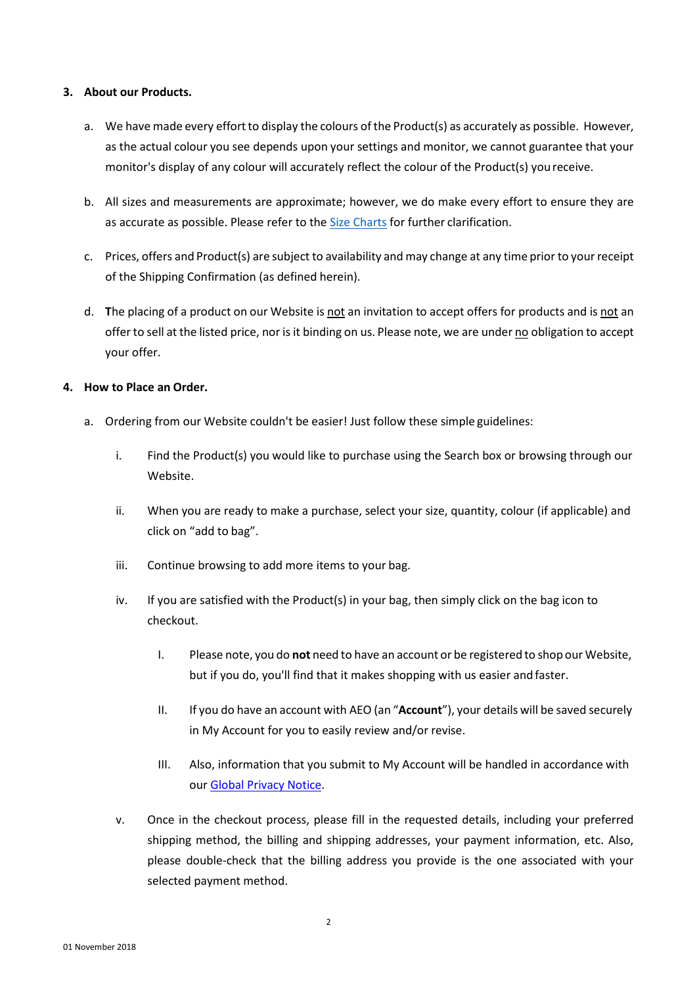#### **3. About our Products.**

- a. We have made every effort to display the colours of the Product(s) as accurately as possible. However, as the actual colour you see depends upon your settings and monitor, we cannot guarantee that your monitor's display of any colour will accurately reflect the colour of the Product(s) youreceive.
- b. All sizes and measurements are approximate; however, we do make every effort to ensure they are as accurate as possible. Please refer to the [Size Charts](https://www.ae.com/intl/en/content/help/home) for further clarification.
- c. Prices, offers and Product(s) are subject to availability and may change at any time prior to yourreceipt of the Shipping Confirmation (as defined herein).
- d. **T**he placing of a product on our Website is not an invitation to accept offers for products and is not an offerto sell at the listed price, nor is it binding on us. Please note, we are under no obligation to accept your offer.

#### **4. How to Place an Order.**

- a. Ordering from our Website couldn't be easier! Just follow these simple guidelines:
	- i. Find the Product(s) you would like to purchase using the Search box or browsing through our Website.
	- ii. When you are ready to make a purchase, select your size, quantity, colour (if applicable) and click on "add to bag".
	- iii. Continue browsing to add more items to your bag.
	- iv. If you are satisfied with the Product(s) in your bag, then simply click on the bag icon to checkout.
		- I. Please note, you do **not** need to have an account or be registered to shop our Website, but if you do, you'll find that it makes shopping with us easier and faster.
		- II. If you do have an account with AEO (an "**Account**"), your details will be saved securely in My Account for you to easily review and/or revise.
		- III. Also, information that you submit to My Account will be handled in accordance with our [Global Privacy](https://www.ae.com/intl/en/content/help/privacy-notice) Notice.
	- v. Once in the checkout process, please fill in the requested details, including your preferred shipping method, the billing and shipping addresses, your payment information, etc. Also, please double-check that the billing address you provide is the one associated with your selected payment method.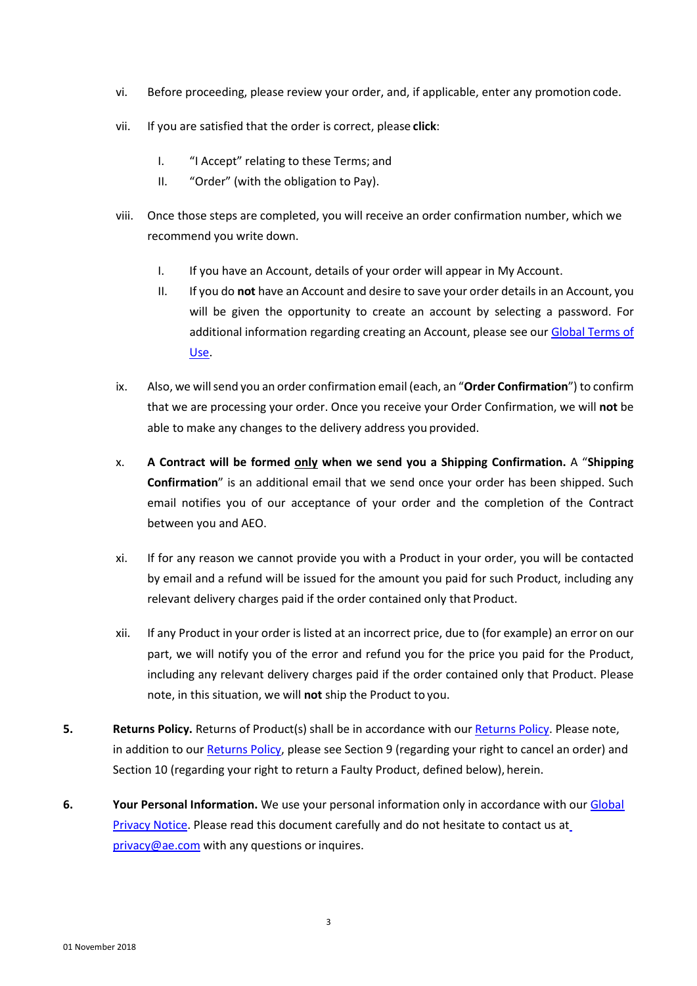- vi. Before proceeding, please review your order, and, if applicable, enter any promotion code.
- vii. If you are satisfied that the order is correct, please **click**:
	- I. "I Accept" relating to these Terms; and
	- II. "Order" (with the obligation to Pay).
- viii. Once those steps are completed, you will receive an order confirmation number, which we recommend you write down.
	- I. If you have an Account, details of your order will appear in My Account.
	- II. If you do **not** have an Account and desire to save your order details in an Account, you will be given the opportunity to create an account by selecting a password. For additional information regarding creating an Account, please see our [Global](https://www.ae.com/intl/en/content/help/terms-of-use) Terms o[f](https://www.ae.com/content/help/terms-of-use) [Use.](https://www.ae.com/content/help/terms-of-use)
- ix. Also, we willsend you an order confirmation email (each, an "**Order Confirmation**") to confirm that we are processing your order. Once you receive your Order Confirmation, we will **not** be able to make any changes to the delivery address you provided.
- x. **A Contract will be formed only when we send you a Shipping Confirmation.** A "**Shipping Confirmation**" is an additional email that we send once your order has been shipped. Such email notifies you of our acceptance of your order and the completion of the Contract between you and AEO.
- xi. If for any reason we cannot provide you with a Product in your order, you will be contacted by email and a refund will be issued for the amount you paid for such Product, including any relevant delivery charges paid if the order contained only that Product.
- xii. If any Product in your order is listed at an incorrect price, due to (for example) an error on our part, we will notify you of the error and refund you for the price you paid for the Product, including any relevant delivery charges paid if the order contained only that Product. Please note, in this situation, we will **not** ship the Product to you.
- **5. [Returns](https://www.ae.com/intl/en/content/help/return-policy) Policy.** Returns of Product(s) shall be in accordance with our **Returns Policy**. Please note, in addition to our [Returns](https://www.ae.com/intl/en/content/help/return-policy) Policy, please see Section 9 (regarding your right to cancel an order) and Section 10 (regarding your right to return a Faulty Product, defined below), herein.
- **6. Your Personal Information.** We use your personal information only in accordance with our [Global](https://www.ae.com/intl/en/content/help/privacy-notice)  [Privacy](https://www.ae.com/intl/en/content/help/privacy-notice) Notice. Please read this document carefully and do not hesitate to contact us a[t](mailto:privacy@ae.com) [privacy@ae.com](mailto:privacy@ae.com) with any questions or inquires.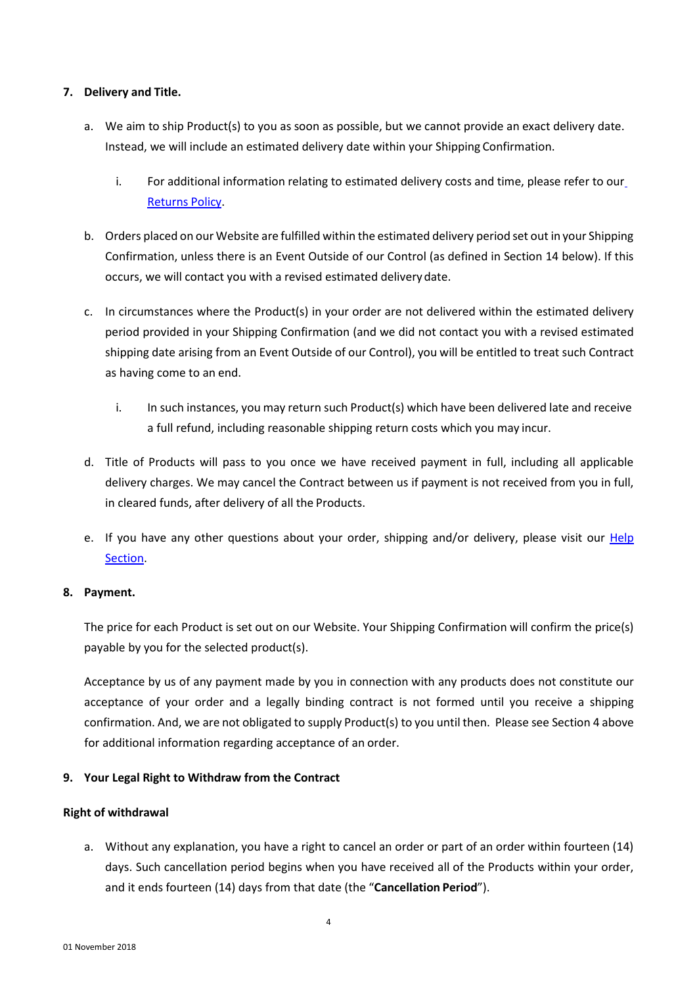#### **7. Delivery and Title.**

- a. We aim to ship Product(s) to you as soon as possible, but we cannot provide an exact delivery date. Instead, we will include an estimated delivery date within your Shipping Confirmation.
	- i. For additional information relating to estimated delivery costs and time, please refer to our [Returns](https://www.ae.com/intl/en/content/help/return-policy) Policy.
- b. Orders placed on our Website are fulfilled within the estimated delivery period set out in your Shipping Confirmation, unless there is an Event Outside of our Control (as defined in Section 14 below). If this occurs, we will contact you with a revised estimated delivery date.
- c. In circumstances where the Product(s) in your order are not delivered within the estimated delivery period provided in your Shipping Confirmation (and we did not contact you with a revised estimated shipping date arising from an Event Outside of our Control), you will be entitled to treat such Contract as having come to an end.
	- i. In such instances, you may return such Product(s) which have been delivered late and receive a full refund, including reasonable shipping return costs which you may incur.
- d. Title of Products will pass to you once we have received payment in full, including all applicable delivery charges. We may cancel the Contract between us if payment is not received from you in full, in cleared funds, after delivery of all the Products.
- e. If you have any other questions about your order, shipping and/or delivery, please visit our [Help](https://www.ae.com/intl/en/content/help/home) [Section.](https://www.ae.com/content/help/home)

# **8. Payment.**

The price for each Product is set out on our Website. Your Shipping Confirmation will confirm the price(s) payable by you for the selected product(s).

Acceptance by us of any payment made by you in connection with any products does not constitute our acceptance of your order and a legally binding contract is not formed until you receive a shipping confirmation. And, we are not obligated to supply Product(s) to you until then. Please see Section 4 above for additional information regarding acceptance of an order.

# **9. Your Legal Right to Withdraw from the Contract**

#### **Right of withdrawal**

a. Without any explanation, you have a right to cancel an order or part of an order within fourteen (14) days. Such cancellation period begins when you have received all of the Products within your order, and it ends fourteen (14) days from that date (the "**Cancellation Period**").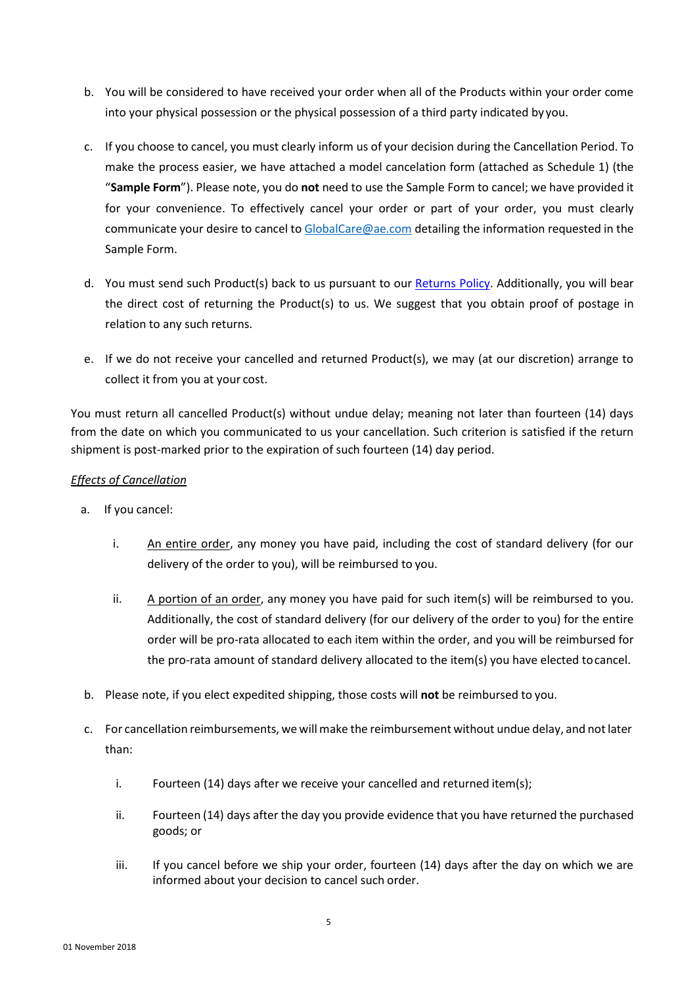- b. You will be considered to have received your order when all of the Products within your order come into your physical possession or the physical possession of a third party indicated by you.
- c. If you choose to cancel, you must clearly inform us of your decision during the Cancellation Period. To make the process easier, we have attached a model cancelation form (attached as Schedule 1) (the "**Sample Form**"). Please note, you do **not** need to use the Sample Form to cancel; we have provided it for your convenience. To effectively cancel your order or part of your order, you must clearly communicate your desire to cancel to [GlobalCare@ae.com](mailto:GlobalCare@ae.com) detailing the information requested in the Sample Form.
- d. You must send such Product(s) back to us pursuant to our [Returns Policy.](https://www.ae.com/intl/en/content/help/return-policy) Additionally, you will bear the direct cost of returning the Product(s) to us. We suggest that you obtain proof of postage in relation to any such returns.
- e. If we do not receive your cancelled and returned Product(s), we may (at our discretion) arrange to collect it from you at your cost.

You must return all cancelled Product(s) without undue delay; meaning not later than fourteen (14) days from the date on which you communicated to us your cancellation. Such criterion is satisfied if the return shipment is post-marked prior to the expiration of such fourteen (14) day period.

# *Effects of Cancellation*

- a. If you cancel:
	- i. An entire order, any money you have paid, including the cost of standard delivery (for our delivery of the order to you), will be reimbursed to you.
	- ii. A portion of an order, any money you have paid for such item(s) will be reimbursed to you. Additionally, the cost of standard delivery (for our delivery of the order to you) for the entire order will be pro-rata allocated to each item within the order, and you will be reimbursed for the pro-rata amount of standard delivery allocated to the item(s) you have elected tocancel.
- b. Please note, if you elect expedited shipping, those costs will **not** be reimbursed to you.
- c. For cancellation reimbursements, we will make the reimbursement without undue delay, and notlater than:
	- i. Fourteen (14) days after we receive your cancelled and returned item(s);
	- ii. Fourteen (14) days after the day you provide evidence that you have returned the purchased goods; or
	- iii. If you cancel before we ship your order, fourteen (14) days after the day on which we are informed about your decision to cancel such order.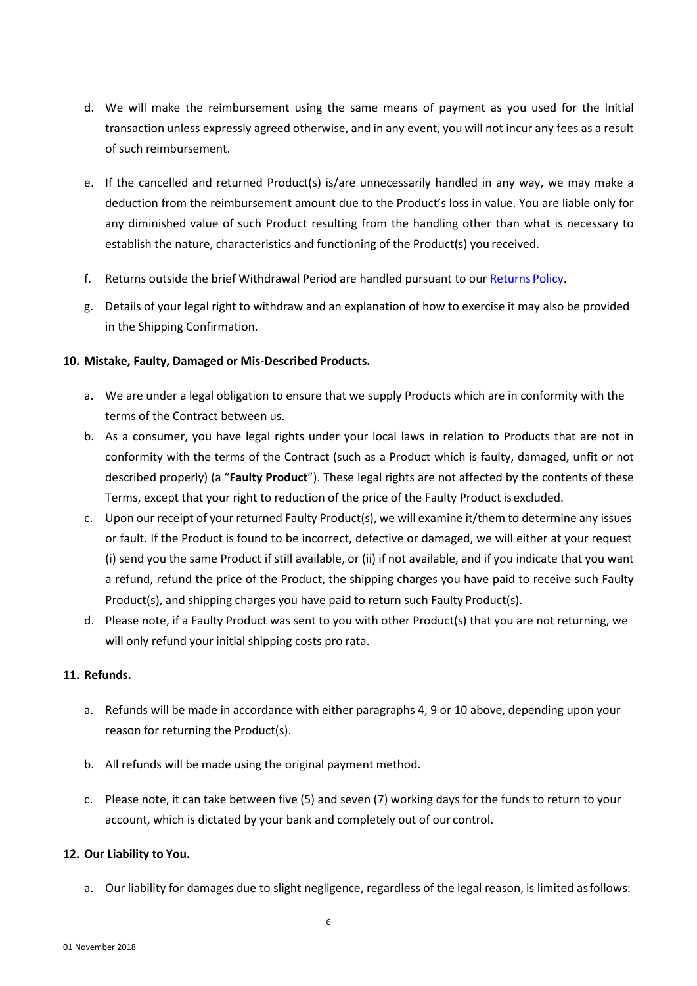- d. We will make the reimbursement using the same means of payment as you used for the initial transaction unless expressly agreed otherwise, and in any event, you will not incur any fees as a result of such reimbursement.
- e. If the cancelled and returned Product(s) is/are unnecessarily handled in any way, we may make a deduction from the reimbursement amount due to the Product's loss in value. You are liable only for any diminished value of such Product resulting from the handling other than what is necessary to establish the nature, characteristics and functioning of the Product(s) you received.
- f. Returns outside the brief Withdrawal Period are handled pursuant to our [Returns](https://www.ae.com/intl/en/content/help/return-policy) Policy.
- g. Details of your legal right to withdraw and an explanation of how to exercise it may also be provided in the Shipping Confirmation.

#### **10. Mistake, Faulty, Damaged or Mis-Described Products.**

- a. We are under a legal obligation to ensure that we supply Products which are in conformity with the terms of the Contract between us.
- b. As a consumer, you have legal rights under your local laws in relation to Products that are not in conformity with the terms of the Contract (such as a Product which is faulty, damaged, unfit or not described properly) (a "**Faulty Product**"). These legal rights are not affected by the contents of these Terms, except that your right to reduction of the price of the Faulty Product isexcluded.
- c. Upon our receipt of your returned Faulty Product(s), we will examine it/them to determine any issues or fault. If the Product is found to be incorrect, defective or damaged, we will either at your request (i) send you the same Product if still available, or (ii) if not available, and if you indicate that you want a refund, refund the price of the Product, the shipping charges you have paid to receive such Faulty Product(s), and shipping charges you have paid to return such Faulty Product(s).
- d. Please note, if a Faulty Product was sent to you with other Product(s) that you are not returning, we will only refund your initial shipping costs pro rata.

#### **11. Refunds.**

- a. Refunds will be made in accordance with either paragraphs 4, 9 or 10 above, depending upon your reason for returning the Product(s).
- b. All refunds will be made using the original payment method.
- c. Please note, it can take between five (5) and seven (7) working days for the funds to return to your account, which is dictated by your bank and completely out of our control.

#### **12. Our Liability to You.**

a. Our liability for damages due to slight negligence, regardless of the legal reason, is limited asfollows: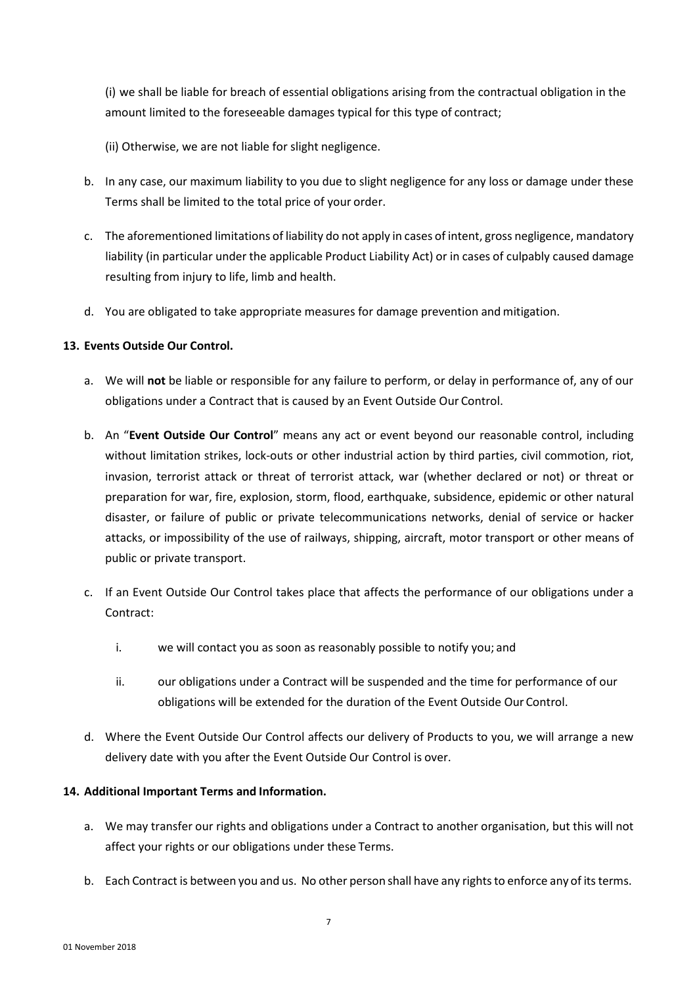(i) we shall be liable for breach of essential obligations arising from the contractual obligation in the amount limited to the foreseeable damages typical for this type of contract;

(ii) Otherwise, we are not liable for slight negligence.

- b. In any case, our maximum liability to you due to slight negligence for any loss or damage under these Terms shall be limited to the total price of your order.
- c. The aforementioned limitations of liability do not apply in cases of intent, gross negligence, mandatory liability (in particular under the applicable Product Liability Act) or in cases of culpably caused damage resulting from injury to life, limb and health.
- d. You are obligated to take appropriate measures for damage prevention and mitigation.

# **13. Events Outside Our Control.**

- a. We will **not** be liable or responsible for any failure to perform, or delay in performance of, any of our obligations under a Contract that is caused by an Event Outside Our Control.
- b. An "**Event Outside Our Control**" means any act or event beyond our reasonable control, including without limitation strikes, lock-outs or other industrial action by third parties, civil commotion, riot, invasion, terrorist attack or threat of terrorist attack, war (whether declared or not) or threat or preparation for war, fire, explosion, storm, flood, earthquake, subsidence, epidemic or other natural disaster, or failure of public or private telecommunications networks, denial of service or hacker attacks, or impossibility of the use of railways, shipping, aircraft, motor transport or other means of public or private transport.
- c. If an Event Outside Our Control takes place that affects the performance of our obligations under a Contract:
	- i. we will contact you as soon as reasonably possible to notify you; and
	- ii. our obligations under a Contract will be suspended and the time for performance of our obligations will be extended for the duration of the Event Outside Our Control.
- d. Where the Event Outside Our Control affects our delivery of Products to you, we will arrange a new delivery date with you after the Event Outside Our Control is over.

# **14. Additional Important Terms and Information.**

- a. We may transfer our rights and obligations under a Contract to another organisation, but this will not affect your rights or our obligations under these Terms.
- b. Each Contract is between you and us. No other person shall have any rights to enforce any of its terms.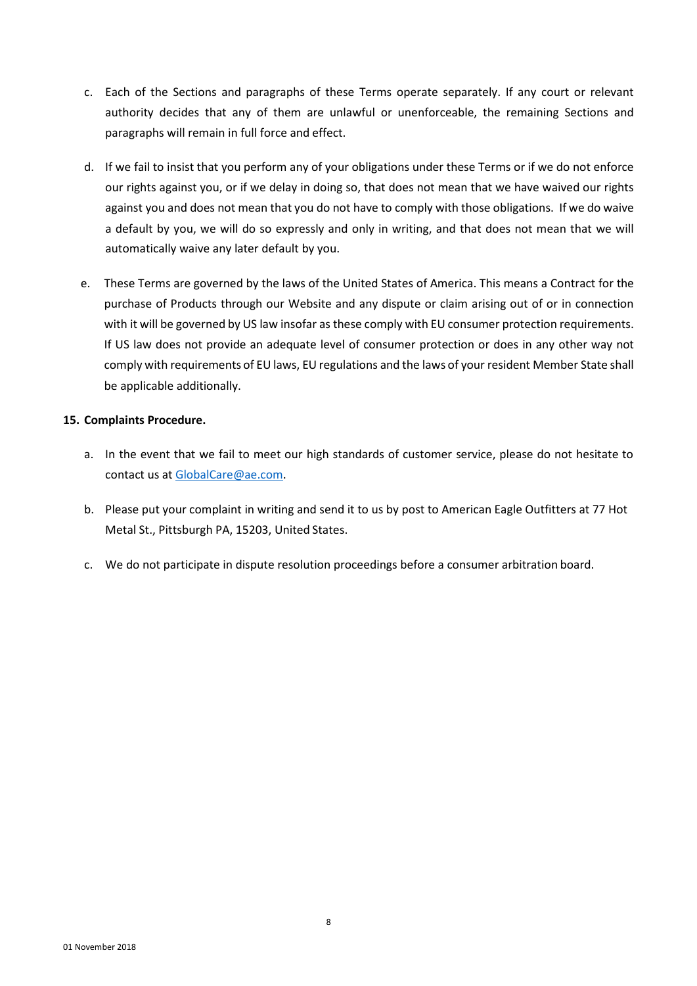- c. Each of the Sections and paragraphs of these Terms operate separately. If any court or relevant authority decides that any of them are unlawful or unenforceable, the remaining Sections and paragraphs will remain in full force and effect.
- d. If we fail to insist that you perform any of your obligations under these Terms or if we do not enforce our rights against you, or if we delay in doing so, that does not mean that we have waived our rights against you and does not mean that you do not have to comply with those obligations. If we do waive a default by you, we will do so expressly and only in writing, and that does not mean that we will automatically waive any later default by you.
- e. These Terms are governed by the laws of the United States of America. This means a Contract for the purchase of Products through our Website and any dispute or claim arising out of or in connection with it will be governed by US law insofar as these comply with EU consumer protection requirements. If US law does not provide an adequate level of consumer protection or does in any other way not comply with requirements of EU laws, EU regulations and the laws of your resident Member State shall be applicable additionally.

#### **15. Complaints Procedure.**

- a. In the event that we fail to meet our high standards of customer service, please do not hesitate to contact us at [GlobalCare@ae.com.](mailto:GlobalCare@ae.com)
- b. Please put your complaint in writing and send it to us by post to American Eagle Outfitters at 77 Hot Metal St., Pittsburgh PA, 15203, United States.
- c. We do not participate in dispute resolution proceedings before a consumer arbitration board.